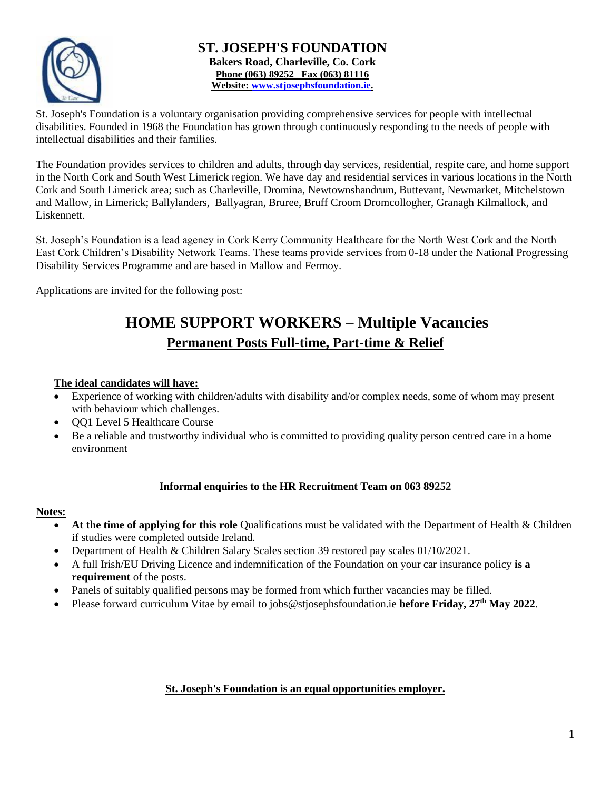

#### **ST. JOSEPH'S FOUNDATION Bakers Road, Charleville, Co. Cork Phone (063) 89252 Fax (063) 81116 Website: [www.stjosephsfoundation.ie.](http://www.stjosephsfoundation.ie/)**

St. Joseph's Foundation is a voluntary organisation providing comprehensive services for people with intellectual disabilities. Founded in 1968 the Foundation has grown through continuously responding to the needs of people with intellectual disabilities and their families.

The Foundation provides services to children and adults, through day services, residential, respite care, and home support in the North Cork and South West Limerick region. We have day and residential services in various locations in the North Cork and South Limerick area; such as Charleville, Dromina, Newtownshandrum, Buttevant, Newmarket, Mitchelstown and Mallow, in Limerick; Ballylanders, Ballyagran, Bruree, Bruff Croom Dromcollogher, Granagh Kilmallock, and Liskennett.

St. Joseph's Foundation is a lead agency in Cork Kerry Community Healthcare for the North West Cork and the North East Cork Children's Disability Network Teams. These teams provide services from 0-18 under the National Progressing Disability Services Programme and are based in Mallow and Fermoy.

Applications are invited for the following post:

### **HOME SUPPORT WORKERS – Multiple Vacancies Permanent Posts Full-time, Part-time & Relief**

#### **The ideal candidates will have:**

- Experience of working with children/adults with disability and/or complex needs, some of whom may present with behaviour which challenges.
- QQ1 Level 5 Healthcare Course
- Be a reliable and trustworthy individual who is committed to providing quality person centred care in a home environment

#### **Informal enquiries to the HR Recruitment Team on 063 89252**

#### **Notes:**

- **At the time of applying for this role** Qualifications must be validated with the Department of Health & Children if studies were completed outside Ireland.
- Department of Health & Children Salary Scales section 39 restored pay scales 01/10/2021.
- A full Irish/EU Driving Licence and indemnification of the Foundation on your car insurance policy **is a requirement** of the posts.
- Panels of suitably qualified persons may be formed from which further vacancies may be filled.
- Please forward curriculum Vitae by email to [jobs@stjosephsfoundation.ie](mailto:jobs@stjosephsfoundation.ie) **before Friday, 27th May 2022**.

#### **St. Joseph's Foundation is an equal opportunities employer.**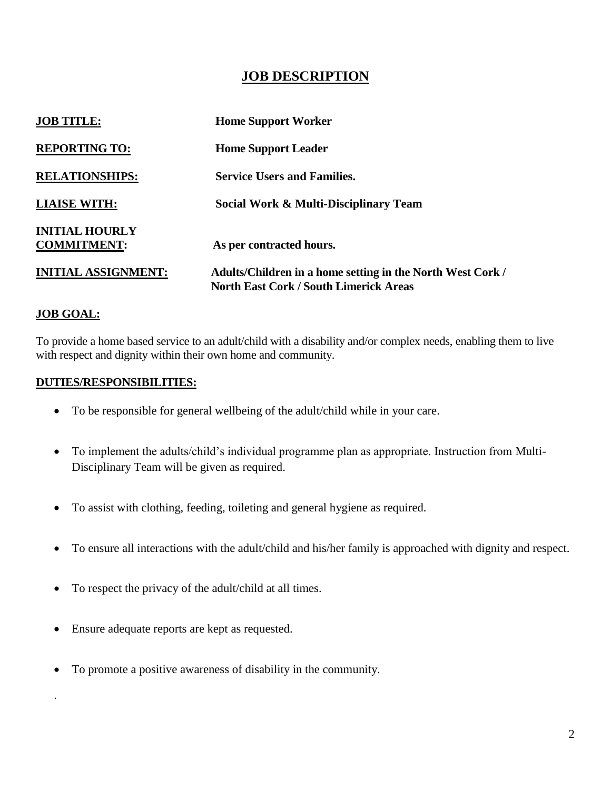### **JOB DESCRIPTION**

| <b>JOB TITLE:</b>                           | <b>Home Support Worker</b>                                                                                  |
|---------------------------------------------|-------------------------------------------------------------------------------------------------------------|
| <b>REPORTING TO:</b>                        | <b>Home Support Leader</b>                                                                                  |
| <b>RELATIONSHIPS:</b>                       | <b>Service Users and Families.</b>                                                                          |
| <b>LIAISE WITH:</b>                         | Social Work & Multi-Disciplinary Team                                                                       |
| <b>INITIAL HOURLY</b><br><b>COMMITMENT:</b> | As per contracted hours.                                                                                    |
| <b>INITIAL ASSIGNMENT:</b>                  | Adults/Children in a home setting in the North West Cork /<br><b>North East Cork / South Limerick Areas</b> |

#### **JOB GOAL:**

.

To provide a home based service to an adult/child with a disability and/or complex needs, enabling them to live with respect and dignity within their own home and community.

#### **DUTIES/RESPONSIBILITIES:**

- To be responsible for general wellbeing of the adult/child while in your care.
- To implement the adults/child's individual programme plan as appropriate. Instruction from Multi-Disciplinary Team will be given as required.
- To assist with clothing, feeding, toileting and general hygiene as required.
- To ensure all interactions with the adult/child and his/her family is approached with dignity and respect.
- To respect the privacy of the adult/child at all times.
- Ensure adequate reports are kept as requested.
- To promote a positive awareness of disability in the community.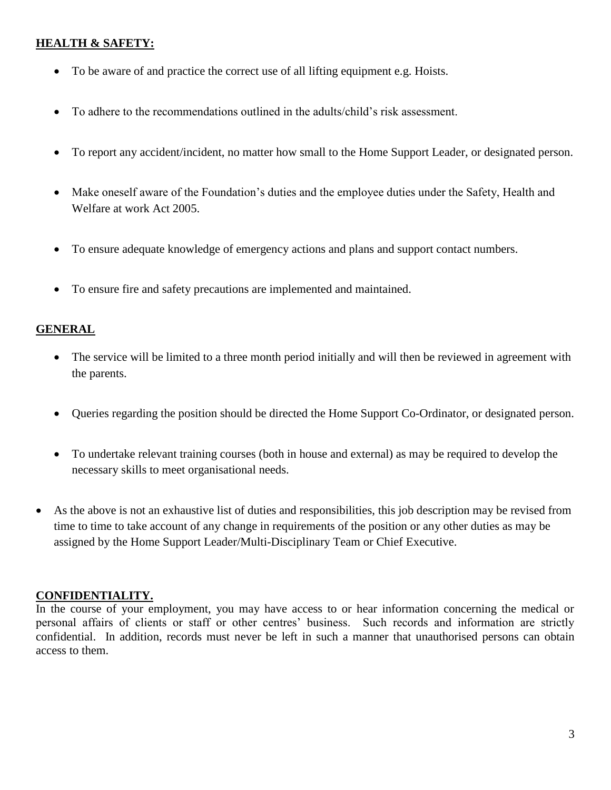#### **HEALTH & SAFETY:**

- To be aware of and practice the correct use of all lifting equipment e.g. Hoists.
- To adhere to the recommendations outlined in the adults/child's risk assessment.
- To report any accident/incident, no matter how small to the Home Support Leader, or designated person.
- Make oneself aware of the Foundation's duties and the employee duties under the Safety, Health and Welfare at work Act 2005.
- To ensure adequate knowledge of emergency actions and plans and support contact numbers.
- To ensure fire and safety precautions are implemented and maintained.

#### **GENERAL**

- The service will be limited to a three month period initially and will then be reviewed in agreement with the parents.
- Queries regarding the position should be directed the Home Support Co-Ordinator, or designated person.
- To undertake relevant training courses (both in house and external) as may be required to develop the necessary skills to meet organisational needs.
- As the above is not an exhaustive list of duties and responsibilities, this job description may be revised from time to time to take account of any change in requirements of the position or any other duties as may be assigned by the Home Support Leader/Multi-Disciplinary Team or Chief Executive.

#### **CONFIDENTIALITY.**

In the course of your employment, you may have access to or hear information concerning the medical or personal affairs of clients or staff or other centres' business. Such records and information are strictly confidential. In addition, records must never be left in such a manner that unauthorised persons can obtain access to them.